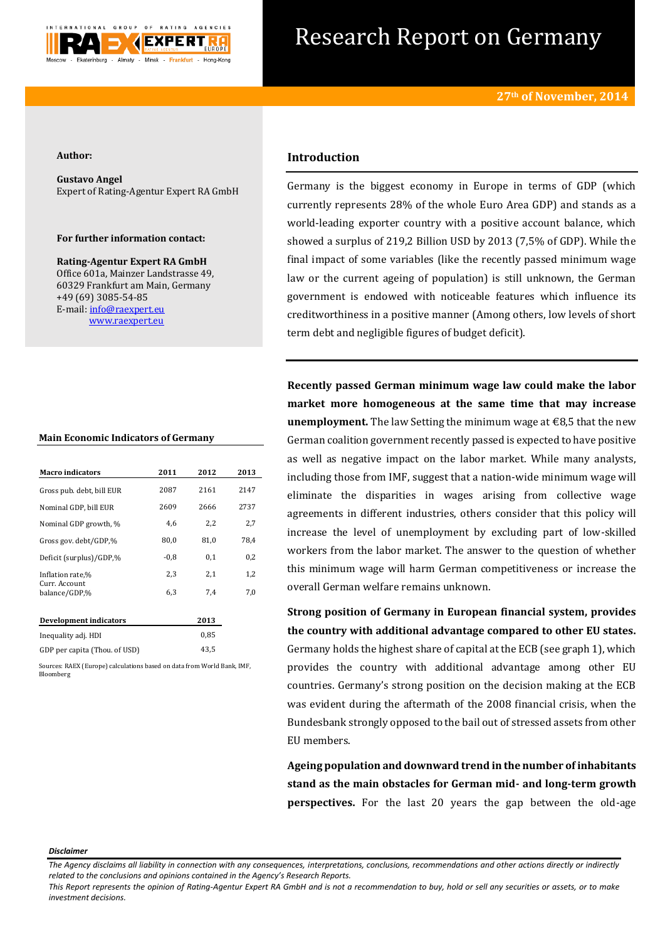

# Research Report on Germany

### **Author:**

**Gustavo Angel** Expert of Rating-Agentur Expert RA GmbH

# **For further information contact:**

**Rating-Agentur Expert RA GmbH** Office 601a, Mainzer Landstrasse 49, 60329 Frankfurt am Main, Germany +49 (69) 3085-54-85 E-mail[: info@raexpert.eu](mailto:info@raexpert.eu) [www.raexpert.eu](http://raexpert.eu/)

## **Main Economic Indicators of Germany**

| <b>Macro</b> indicators         | 2011   | 2012 | 2013 |
|---------------------------------|--------|------|------|
| Gross pub. debt, bill EUR       | 2087   | 2161 | 2147 |
| Nominal GDP, bill EUR           | 2609   | 2666 | 2737 |
| Nominal GDP growth, %           | 4.6    | 2,2  | 2,7  |
| Gross gov. debt/GDP,%           | 80,0   | 81,0 | 78.4 |
| Deficit (surplus)/GDP,%         | $-0.8$ | 0.1  | 0,2  |
| Inflation rate,%                | 2,3    | 2,1  | 1,2  |
| Curr. Account.<br>balance/GDP,% | 6.3    | 7,4  | 7,0  |
| Development indicators          |        | 2013 |      |

| 0.85 |
|------|
| 43.5 |
|      |

Sources: RAEX (Europe) calculations based on data from World Bank, IMF, Bloomberg

# **Introduction**

Germany is the biggest economy in Europe in terms of GDP (which currently represents 28% of the whole Euro Area GDP) and stands as a world-leading exporter country with a positive account balance, which showed a surplus of 219,2 Billion USD by 2013 (7,5% of GDP). While the final impact of some variables (like the recently passed minimum wage law or the current ageing of population) is still unknown, the German government is endowed with noticeable features which influence its creditworthiness in a positive manner (Among others, low levels of short term debt and negligible figures of budget deficit).

**Recently passed German minimum wage law could make the labor market more homogeneous at the same time that may increase unemployment.** The law Setting the minimum wage at €8,5 that the new German coalition government recently passed is expected to have positive as well as negative impact on the labor market. While many analysts, including those from IMF, suggest that a nation-wide minimum wage will eliminate the disparities in wages arising from collective wage agreements in different industries, others consider that this policy will increase the level of unemployment by excluding part of low-skilled workers from the labor market. The answer to the question of whether this minimum wage will harm German competitiveness or increase the overall German welfare remains unknown.

**Strong position of Germany in European financial system, provides the country with additional advantage compared to other EU states.**  Germany holds the highest share of capital at the ECB (see graph 1), which provides the country with additional advantage among other EU countries. Germany's strong position on the decision making at the ECB was evident during the aftermath of the 2008 financial crisis, when the Bundesbank strongly opposed to the bail out of stressed assets from other EU members.

**Ageing population and downward trend in the number of inhabitants stand as the main obstacles for German mid- and long-term growth perspectives.** For the last 20 years the gap between the old-age

#### *Disclaimer*

*This Report represents the opinion of Rating-Agentur Expert RA GmbH and is not a recommendation to buy, hold or sell any securities or assets, or to make investment decisions.*

*The Agency disclaims all liability in connection with any consequences, interpretations, conclusions, recommendations and other actions directly or indirectly related to the conclusions and opinions contained in the Agency's Research Reports.*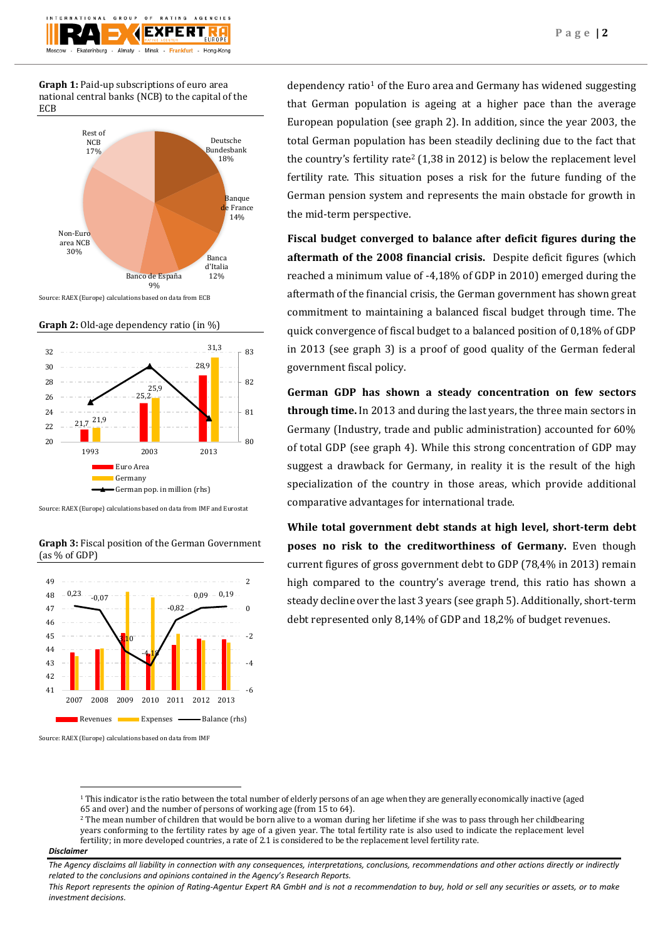**Graph 1:** Paid-up subscriptions of euro area national central banks (NCB) to the capital of the ECB

Almaty

rinburg

 $\sim$   $\epsilon$ 

**EXPERT** 

Hong-Kong



Source: RAEX (Europe) calculations based on data from ECB





Source: RAEX (Europe) calculations based on data from IMF and Eurostat





Source: RAEX (Europe) calculations based on data from IMF

dependency ratio<sup>1</sup> of the Euro area and Germany has widened suggesting that German population is ageing at a higher pace than the average European population (see graph 2). In addition, since the year 2003, the total German population has been steadily declining due to the fact that the country's fertility rate<sup>2</sup> (1,38 in 2012) is below the replacement level fertility rate. This situation poses a risk for the future funding of the German pension system and represents the main obstacle for growth in the mid-term perspective.

**Fiscal budget converged to balance after deficit figures during the aftermath of the 2008 financial crisis.** Despite deficit figures (which reached a minimum value of -4,18% of GDP in 2010) emerged during the aftermath of the financial crisis, the German government has shown great commitment to maintaining a balanced fiscal budget through time. The quick convergence of fiscal budget to a balanced position of 0,18% of GDP in 2013 (see graph 3) is a proof of good quality of the German federal government fiscal policy.

**German GDP has shown a steady concentration on few sectors through time.** In 2013 and during the last years, the three main sectors in Germany (Industry, trade and public administration) accounted for 60% of total GDP (see graph 4). While this strong concentration of GDP may suggest a drawback for Germany, in reality it is the result of the high specialization of the country in those areas, which provide additional comparative advantages for international trade.

**While total government debt stands at high level, short-term debt poses no risk to the creditworthiness of Germany.** Even though current figures of gross government debt to GDP (78,4% in 2013) remain high compared to the country's average trend, this ratio has shown a steady decline over the last 3 years (see graph 5). Additionally, short-term debt represented only 8,14% of GDP and 18,2% of budget revenues.

## *Disclaimer*

**.** 

<sup>&</sup>lt;sup>1</sup> This indicator is the ratio between the total number of elderly persons of an age when they are generally economically inactive (aged 65 and over) and the number of persons of working age (from 15 to 64).

<sup>&</sup>lt;sup>2</sup> The mean number of children that would be born alive to a woman during her lifetime if she was to pass through her childbearing years conforming to the fertility rates by age of a given year. The total fertility rate is also used to indicate the replacement level fertility; in more developed countries, a rate of 2.1 is considered to be the replacement level fertility rate.

*The Agency disclaims all liability in connection with any consequences, interpretations, conclusions, recommendations and other actions directly or indirectly related to the conclusions and opinions contained in the Agency's Research Reports.*

*This Report represents the opinion of Rating-Agentur Expert RA GmbH and is not a recommendation to buy, hold or sell any securities or assets, or to make investment decisions.*